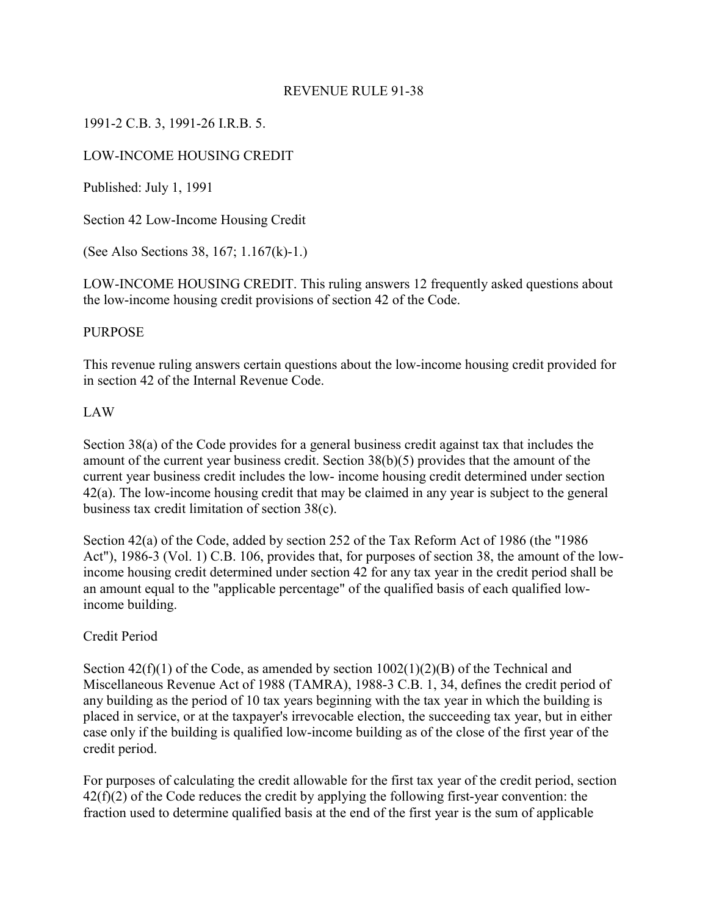#### REVENUE RULE 91-38

#### 1991-2 C.B. 3, 1991-26 I.R.B. 5.

#### LOW-INCOME HOUSING CREDIT

Published: July 1, 1991

Section 42 Low-Income Housing Credit

(See Also Sections 38, 167; 1.167(k)-1.)

LOW-INCOME HOUSING CREDIT. This ruling answers 12 frequently asked questions about the low-income housing credit provisions of section 42 of the Code.

#### PURPOSE

This revenue ruling answers certain questions about the low-income housing credit provided for in section 42 of the Internal Revenue Code.

#### LAW

Section 38(a) of the Code provides for a general business credit against tax that includes the amount of the current year business credit. Section 38(b)(5) provides that the amount of the current year business credit includes the low- income housing credit determined under section 42(a). The low-income housing credit that may be claimed in any year is subject to the general business tax credit limitation of section 38(c).

Section 42(a) of the Code, added by section 252 of the Tax Reform Act of 1986 (the "1986 Act"), 1986-3 (Vol. 1) C.B. 106, provides that, for purposes of section 38, the amount of the lowincome housing credit determined under section 42 for any tax year in the credit period shall be an amount equal to the "applicable percentage" of the qualified basis of each qualified lowincome building.

#### Credit Period

Section  $42(f)(1)$  of the Code, as amended by section  $1002(1)(2)(B)$  of the Technical and Miscellaneous Revenue Act of 1988 (TAMRA), 1988-3 C.B. 1, 34, defines the credit period of any building as the period of 10 tax years beginning with the tax year in which the building is placed in service, or at the taxpayer's irrevocable election, the succeeding tax year, but in either case only if the building is qualified low-income building as of the close of the first year of the credit period.

For purposes of calculating the credit allowable for the first tax year of the credit period, section  $42(f)(2)$  of the Code reduces the credit by applying the following first-year convention: the fraction used to determine qualified basis at the end of the first year is the sum of applicable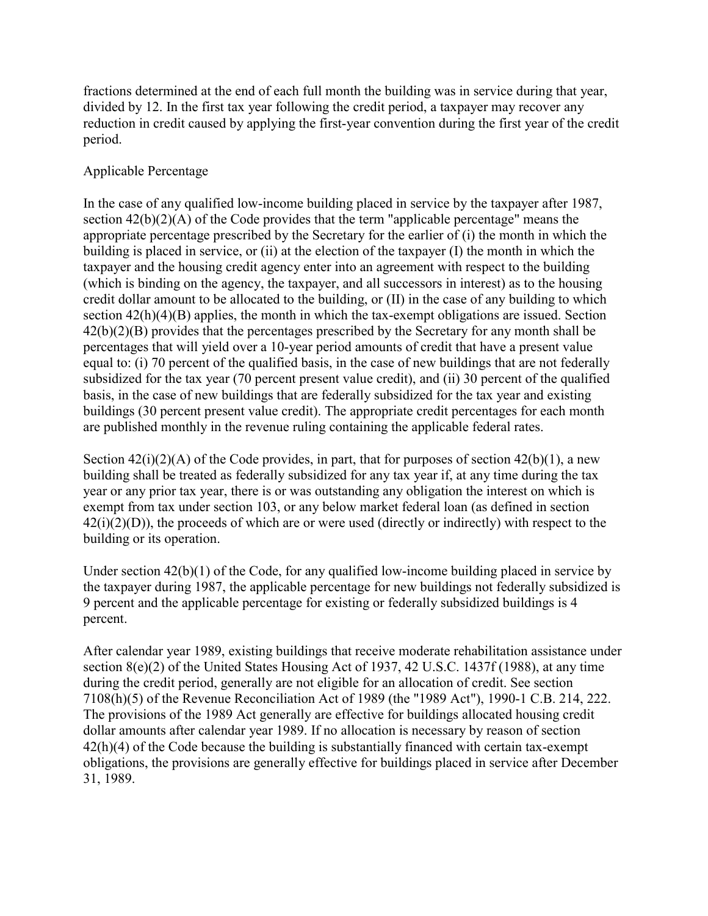fractions determined at the end of each full month the building was in service during that year, divided by 12. In the first tax year following the credit period, a taxpayer may recover any reduction in credit caused by applying the first-year convention during the first year of the credit period.

## Applicable Percentage

In the case of any qualified low-income building placed in service by the taxpayer after 1987, section 42(b)(2)(A) of the Code provides that the term "applicable percentage" means the appropriate percentage prescribed by the Secretary for the earlier of (i) the month in which the building is placed in service, or (ii) at the election of the taxpayer (I) the month in which the taxpayer and the housing credit agency enter into an agreement with respect to the building (which is binding on the agency, the taxpayer, and all successors in interest) as to the housing credit dollar amount to be allocated to the building, or (II) in the case of any building to which section  $42(h)(4)(B)$  applies, the month in which the tax-exempt obligations are issued. Section 42(b)(2)(B) provides that the percentages prescribed by the Secretary for any month shall be percentages that will yield over a 10-year period amounts of credit that have a present value equal to: (i) 70 percent of the qualified basis, in the case of new buildings that are not federally subsidized for the tax year (70 percent present value credit), and (ii) 30 percent of the qualified basis, in the case of new buildings that are federally subsidized for the tax year and existing buildings (30 percent present value credit). The appropriate credit percentages for each month are published monthly in the revenue ruling containing the applicable federal rates.

Section  $42(i)(2)(A)$  of the Code provides, in part, that for purposes of section  $42(b)(1)$ , a new building shall be treated as federally subsidized for any tax year if, at any time during the tax year or any prior tax year, there is or was outstanding any obligation the interest on which is exempt from tax under section 103, or any below market federal loan (as defined in section  $42(i)(2)(D)$ , the proceeds of which are or were used (directly or indirectly) with respect to the building or its operation.

Under section 42(b)(1) of the Code, for any qualified low-income building placed in service by the taxpayer during 1987, the applicable percentage for new buildings not federally subsidized is 9 percent and the applicable percentage for existing or federally subsidized buildings is 4 percent.

After calendar year 1989, existing buildings that receive moderate rehabilitation assistance under section 8(e)(2) of the United States Housing Act of 1937, 42 U.S.C. 1437f (1988), at any time during the credit period, generally are not eligible for an allocation of credit. See section 7108(h)(5) of the Revenue Reconciliation Act of 1989 (the "1989 Act"), 1990-1 C.B. 214, 222. The provisions of the 1989 Act generally are effective for buildings allocated housing credit dollar amounts after calendar year 1989. If no allocation is necessary by reason of section 42(h)(4) of the Code because the building is substantially financed with certain tax-exempt obligations, the provisions are generally effective for buildings placed in service after December 31, 1989.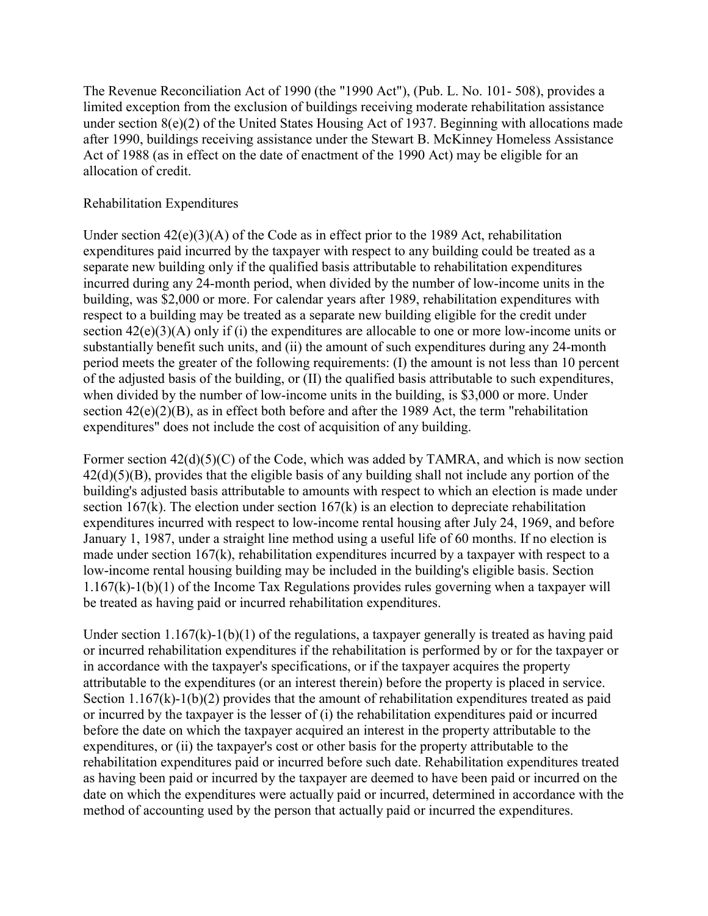The Revenue Reconciliation Act of 1990 (the "1990 Act"), (Pub. L. No. 101- 508), provides a limited exception from the exclusion of buildings receiving moderate rehabilitation assistance under section 8(e)(2) of the United States Housing Act of 1937. Beginning with allocations made after 1990, buildings receiving assistance under the Stewart B. McKinney Homeless Assistance Act of 1988 (as in effect on the date of enactment of the 1990 Act) may be eligible for an allocation of credit.

## Rehabilitation Expenditures

Under section 42(e)(3)(A) of the Code as in effect prior to the 1989 Act, rehabilitation expenditures paid incurred by the taxpayer with respect to any building could be treated as a separate new building only if the qualified basis attributable to rehabilitation expenditures incurred during any 24-month period, when divided by the number of low-income units in the building, was \$2,000 or more. For calendar years after 1989, rehabilitation expenditures with respect to a building may be treated as a separate new building eligible for the credit under section 42(e)(3)(A) only if (i) the expenditures are allocable to one or more low-income units or substantially benefit such units, and (ii) the amount of such expenditures during any 24-month period meets the greater of the following requirements: (I) the amount is not less than 10 percent of the adjusted basis of the building, or (II) the qualified basis attributable to such expenditures, when divided by the number of low-income units in the building, is \$3,000 or more. Under section 42(e)(2)(B), as in effect both before and after the 1989 Act, the term "rehabilitation expenditures" does not include the cost of acquisition of any building.

Former section  $42(d)(5)(C)$  of the Code, which was added by TAMRA, and which is now section  $42(d)(5)(B)$ , provides that the eligible basis of any building shall not include any portion of the building's adjusted basis attributable to amounts with respect to which an election is made under section 167(k). The election under section 167(k) is an election to depreciate rehabilitation expenditures incurred with respect to low-income rental housing after July 24, 1969, and before January 1, 1987, under a straight line method using a useful life of 60 months. If no election is made under section 167(k), rehabilitation expenditures incurred by a taxpayer with respect to a low-income rental housing building may be included in the building's eligible basis. Section 1.167(k)-1(b)(1) of the Income Tax Regulations provides rules governing when a taxpayer will be treated as having paid or incurred rehabilitation expenditures.

Under section  $1.167(k)-1(b)(1)$  of the regulations, a taxpayer generally is treated as having paid or incurred rehabilitation expenditures if the rehabilitation is performed by or for the taxpayer or in accordance with the taxpayer's specifications, or if the taxpayer acquires the property attributable to the expenditures (or an interest therein) before the property is placed in service. Section  $1.167(k)-1(b)(2)$  provides that the amount of rehabilitation expenditures treated as paid or incurred by the taxpayer is the lesser of (i) the rehabilitation expenditures paid or incurred before the date on which the taxpayer acquired an interest in the property attributable to the expenditures, or (ii) the taxpayer's cost or other basis for the property attributable to the rehabilitation expenditures paid or incurred before such date. Rehabilitation expenditures treated as having been paid or incurred by the taxpayer are deemed to have been paid or incurred on the date on which the expenditures were actually paid or incurred, determined in accordance with the method of accounting used by the person that actually paid or incurred the expenditures.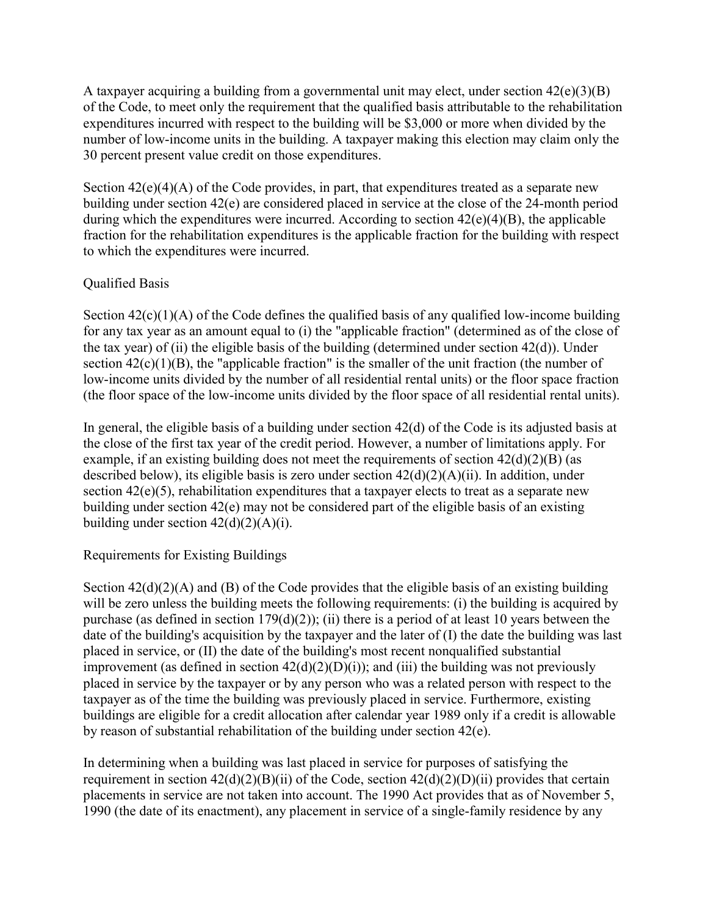A taxpayer acquiring a building from a governmental unit may elect, under section  $42(e)(3)(B)$ of the Code, to meet only the requirement that the qualified basis attributable to the rehabilitation expenditures incurred with respect to the building will be \$3,000 or more when divided by the number of low-income units in the building. A taxpayer making this election may claim only the 30 percent present value credit on those expenditures.

Section  $42(e)(4)(A)$  of the Code provides, in part, that expenditures treated as a separate new building under section 42(e) are considered placed in service at the close of the 24-month period during which the expenditures were incurred. According to section  $42(e)(4)(B)$ , the applicable fraction for the rehabilitation expenditures is the applicable fraction for the building with respect to which the expenditures were incurred.

## Qualified Basis

Section  $42(c)(1)(A)$  of the Code defines the qualified basis of any qualified low-income building for any tax year as an amount equal to (i) the "applicable fraction" (determined as of the close of the tax year) of (ii) the eligible basis of the building (determined under section 42(d)). Under section  $42(c)(1)(B)$ , the "applicable fraction" is the smaller of the unit fraction (the number of low-income units divided by the number of all residential rental units) or the floor space fraction (the floor space of the low-income units divided by the floor space of all residential rental units).

In general, the eligible basis of a building under section 42(d) of the Code is its adjusted basis at the close of the first tax year of the credit period. However, a number of limitations apply. For example, if an existing building does not meet the requirements of section  $42(d)(2)(B)$  (as described below), its eligible basis is zero under section 42(d)(2)(A)(ii). In addition, under section 42(e)(5), rehabilitation expenditures that a taxpayer elects to treat as a separate new building under section 42(e) may not be considered part of the eligible basis of an existing building under section  $42(d)(2)(A)(i)$ .

## Requirements for Existing Buildings

Section  $42(d)(2)(A)$  and (B) of the Code provides that the eligible basis of an existing building will be zero unless the building meets the following requirements: (i) the building is acquired by purchase (as defined in section 179(d)(2)); (ii) there is a period of at least 10 years between the date of the building's acquisition by the taxpayer and the later of (I) the date the building was last placed in service, or (II) the date of the building's most recent nonqualified substantial improvement (as defined in section  $42(d)(2)(D)(i)$ ); and (iii) the building was not previously placed in service by the taxpayer or by any person who was a related person with respect to the taxpayer as of the time the building was previously placed in service. Furthermore, existing buildings are eligible for a credit allocation after calendar year 1989 only if a credit is allowable by reason of substantial rehabilitation of the building under section 42(e).

In determining when a building was last placed in service for purposes of satisfying the requirement in section  $42(d)(2)(B)(ii)$  of the Code, section  $42(d)(2)(D)(ii)$  provides that certain placements in service are not taken into account. The 1990 Act provides that as of November 5, 1990 (the date of its enactment), any placement in service of a single-family residence by any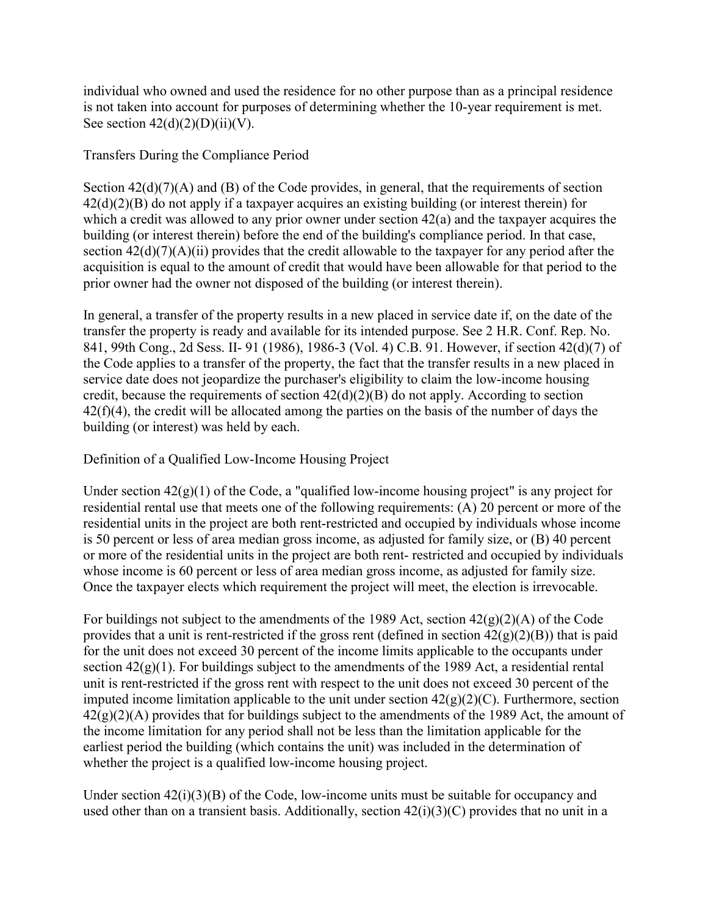individual who owned and used the residence for no other purpose than as a principal residence is not taken into account for purposes of determining whether the 10-year requirement is met. See section  $42(d)(2)(D)(ii)(V)$ .

## Transfers During the Compliance Period

Section  $42(d)(7)(A)$  and (B) of the Code provides, in general, that the requirements of section  $42(d)(2)(B)$  do not apply if a taxpayer acquires an existing building (or interest therein) for which a credit was allowed to any prior owner under section 42(a) and the taxpayer acquires the building (or interest therein) before the end of the building's compliance period. In that case, section  $42(d)(7)(A)(ii)$  provides that the credit allowable to the taxpayer for any period after the acquisition is equal to the amount of credit that would have been allowable for that period to the prior owner had the owner not disposed of the building (or interest therein).

In general, a transfer of the property results in a new placed in service date if, on the date of the transfer the property is ready and available for its intended purpose. See 2 H.R. Conf. Rep. No. 841, 99th Cong., 2d Sess. II- 91 (1986), 1986-3 (Vol. 4) C.B. 91. However, if section 42(d)(7) of the Code applies to a transfer of the property, the fact that the transfer results in a new placed in service date does not jeopardize the purchaser's eligibility to claim the low-income housing credit, because the requirements of section  $42(d)(2)(B)$  do not apply. According to section  $42(f)(4)$ , the credit will be allocated among the parties on the basis of the number of days the building (or interest) was held by each.

## Definition of a Qualified Low-Income Housing Project

Under section 42(g)(1) of the Code, a "qualified low-income housing project" is any project for residential rental use that meets one of the following requirements: (A) 20 percent or more of the residential units in the project are both rent-restricted and occupied by individuals whose income is 50 percent or less of area median gross income, as adjusted for family size, or (B) 40 percent or more of the residential units in the project are both rent- restricted and occupied by individuals whose income is 60 percent or less of area median gross income, as adjusted for family size. Once the taxpayer elects which requirement the project will meet, the election is irrevocable.

For buildings not subject to the amendments of the 1989 Act, section  $42(g)(2)(A)$  of the Code provides that a unit is rent-restricted if the gross rent (defined in section  $42(g)(2)(B)$ ) that is paid for the unit does not exceed 30 percent of the income limits applicable to the occupants under section  $42(g)(1)$ . For buildings subject to the amendments of the 1989 Act, a residential rental unit is rent-restricted if the gross rent with respect to the unit does not exceed 30 percent of the imputed income limitation applicable to the unit under section  $42(g)(2)(C)$ . Furthermore, section  $42(g)(2)(A)$  provides that for buildings subject to the amendments of the 1989 Act, the amount of the income limitation for any period shall not be less than the limitation applicable for the earliest period the building (which contains the unit) was included in the determination of whether the project is a qualified low-income housing project.

Under section 42(i)(3)(B) of the Code, low-income units must be suitable for occupancy and used other than on a transient basis. Additionally, section  $42(i)(3)(C)$  provides that no unit in a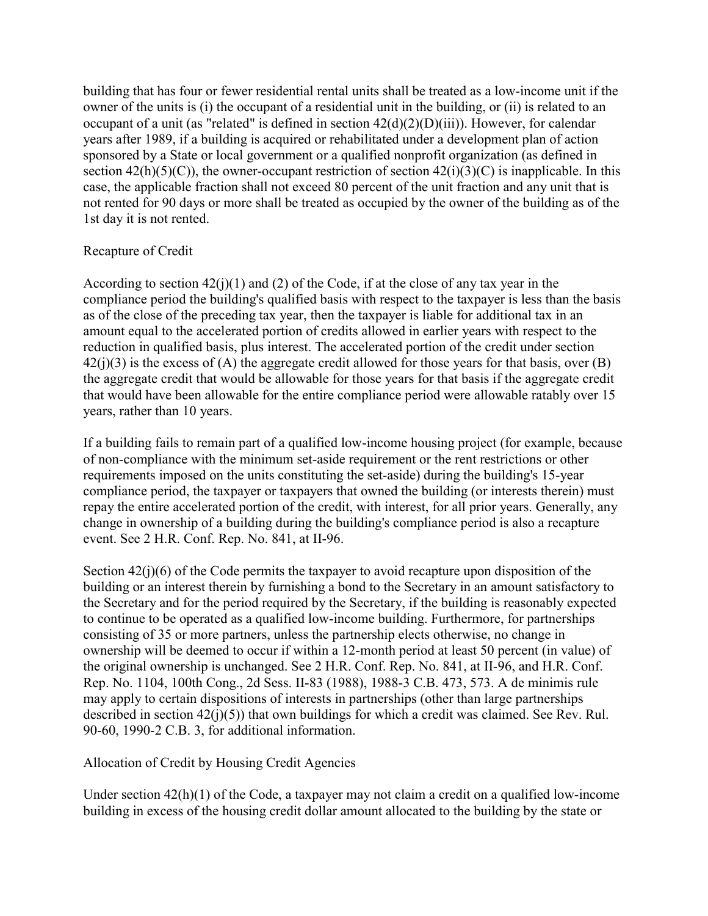building that has four or fewer residential rental units shall be treated as a low-income unit if the owner of the units is (i) the occupant of a residential unit in the building, or (ii) is related to an occupant of a unit (as "related" is defined in section 42(d)(2)(D)(iii)). However, for calendar years after 1989, if a building is acquired or rehabilitated under a development plan of action sponsored by a State or local government or a qualified nonprofit organization (as defined in section  $42(h)(5)(C)$ , the owner-occupant restriction of section  $42(i)(3)(C)$  is inapplicable. In this case, the applicable fraction shall not exceed 80 percent of the unit fraction and any unit that is not rented for 90 days or more shall be treated as occupied by the owner of the building as of the 1st day it is not rented.

## Recapture of Credit

According to section  $42(j)(1)$  and (2) of the Code, if at the close of any tax year in the compliance period the building's qualified basis with respect to the taxpayer is less than the basis as of the close of the preceding tax year, then the taxpayer is liable for additional tax in an amount equal to the accelerated portion of credits allowed in earlier years with respect to the reduction in qualified basis, plus interest. The accelerated portion of the credit under section  $42(i)(3)$  is the excess of (A) the aggregate credit allowed for those years for that basis, over (B) the aggregate credit that would be allowable for those years for that basis if the aggregate credit that would have been allowable for the entire compliance period were allowable ratably over 15 years, rather than 10 years.

If a building fails to remain part of a qualified low-income housing project (for example, because of non-compliance with the minimum set-aside requirement or the rent restrictions or other requirements imposed on the units constituting the set-aside) during the building's 15-year compliance period, the taxpayer or taxpayers that owned the building (or interests therein) must repay the entire accelerated portion of the credit, with interest, for all prior years. Generally, any change in ownership of a building during the building's compliance period is also a recapture event. See 2 H.R. Conf. Rep. No. 841, at II-96.

Section  $42(i)(6)$  of the Code permits the taxpayer to avoid recapture upon disposition of the building or an interest therein by furnishing a bond to the Secretary in an amount satisfactory to the Secretary and for the period required by the Secretary, if the building is reasonably expected to continue to be operated as a qualified low-income building. Furthermore, for partnerships consisting of 35 or more partners, unless the partnership elects otherwise, no change in ownership will be deemed to occur if within a 12-month period at least 50 percent (in value) of the original ownership is unchanged. See 2 H.R. Conf. Rep. No. 841, at II-96, and H.R. Conf. Rep. No. 1104, 100th Cong., 2d Sess. II-83 (1988), 1988-3 C.B. 473, 573. A de minimis rule may apply to certain dispositions of interests in partnerships (other than large partnerships described in section  $42(i)(5)$ ) that own buildings for which a credit was claimed. See Rev. Rul. 90-60, 1990-2 C.B. 3, for additional information.

Allocation of Credit by Housing Credit Agencies

Under section 42(h)(1) of the Code, a taxpayer may not claim a credit on a qualified low-income building in excess of the housing credit dollar amount allocated to the building by the state or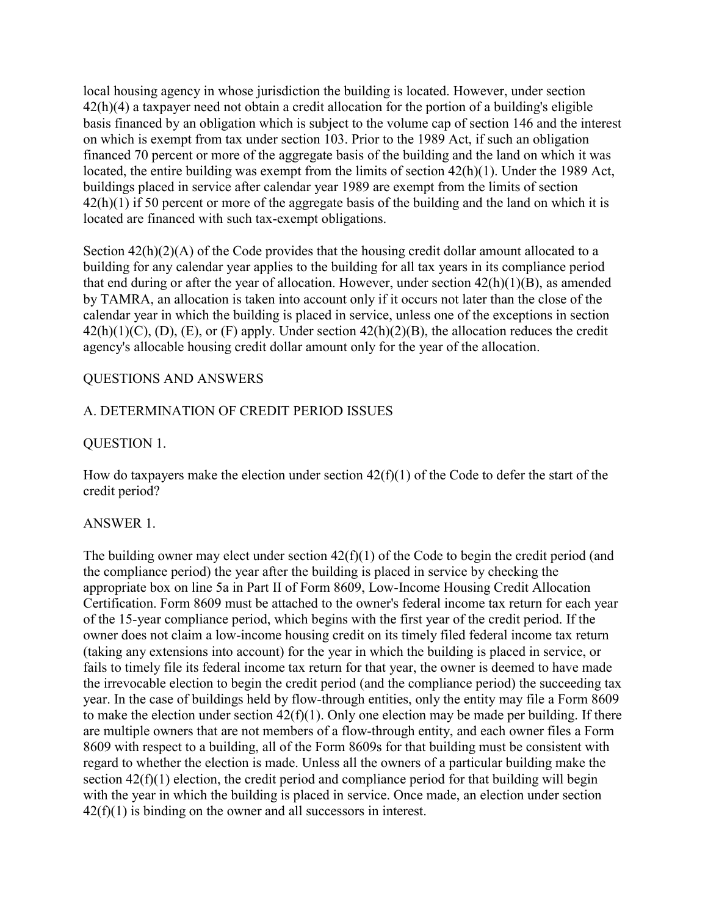local housing agency in whose jurisdiction the building is located. However, under section 42(h)(4) a taxpayer need not obtain a credit allocation for the portion of a building's eligible basis financed by an obligation which is subject to the volume cap of section 146 and the interest on which is exempt from tax under section 103. Prior to the 1989 Act, if such an obligation financed 70 percent or more of the aggregate basis of the building and the land on which it was located, the entire building was exempt from the limits of section 42(h)(1). Under the 1989 Act, buildings placed in service after calendar year 1989 are exempt from the limits of section 42(h)(1) if 50 percent or more of the aggregate basis of the building and the land on which it is located are financed with such tax-exempt obligations.

Section  $42(h)(2)(A)$  of the Code provides that the housing credit dollar amount allocated to a building for any calendar year applies to the building for all tax years in its compliance period that end during or after the year of allocation. However, under section  $42(h)(1)(B)$ , as amended by TAMRA, an allocation is taken into account only if it occurs not later than the close of the calendar year in which the building is placed in service, unless one of the exceptions in section  $42(h)(1)(C)$ , (D), (E), or (F) apply. Under section  $42(h)(2)(B)$ , the allocation reduces the credit agency's allocable housing credit dollar amount only for the year of the allocation.

## QUESTIONS AND ANSWERS

#### A. DETERMINATION OF CREDIT PERIOD ISSUES

#### QUESTION 1.

How do taxpayers make the election under section  $42(f)(1)$  of the Code to defer the start of the credit period?

#### ANSWER 1.

The building owner may elect under section  $42(f)(1)$  of the Code to begin the credit period (and the compliance period) the year after the building is placed in service by checking the appropriate box on line 5a in Part II of Form 8609, Low-Income Housing Credit Allocation Certification. Form 8609 must be attached to the owner's federal income tax return for each year of the 15-year compliance period, which begins with the first year of the credit period. If the owner does not claim a low-income housing credit on its timely filed federal income tax return (taking any extensions into account) for the year in which the building is placed in service, or fails to timely file its federal income tax return for that year, the owner is deemed to have made the irrevocable election to begin the credit period (and the compliance period) the succeeding tax year. In the case of buildings held by flow-through entities, only the entity may file a Form 8609 to make the election under section  $42(f)(1)$ . Only one election may be made per building. If there are multiple owners that are not members of a flow-through entity, and each owner files a Form 8609 with respect to a building, all of the Form 8609s for that building must be consistent with regard to whether the election is made. Unless all the owners of a particular building make the section  $42(f)(1)$  election, the credit period and compliance period for that building will begin with the year in which the building is placed in service. Once made, an election under section 42(f)(1) is binding on the owner and all successors in interest.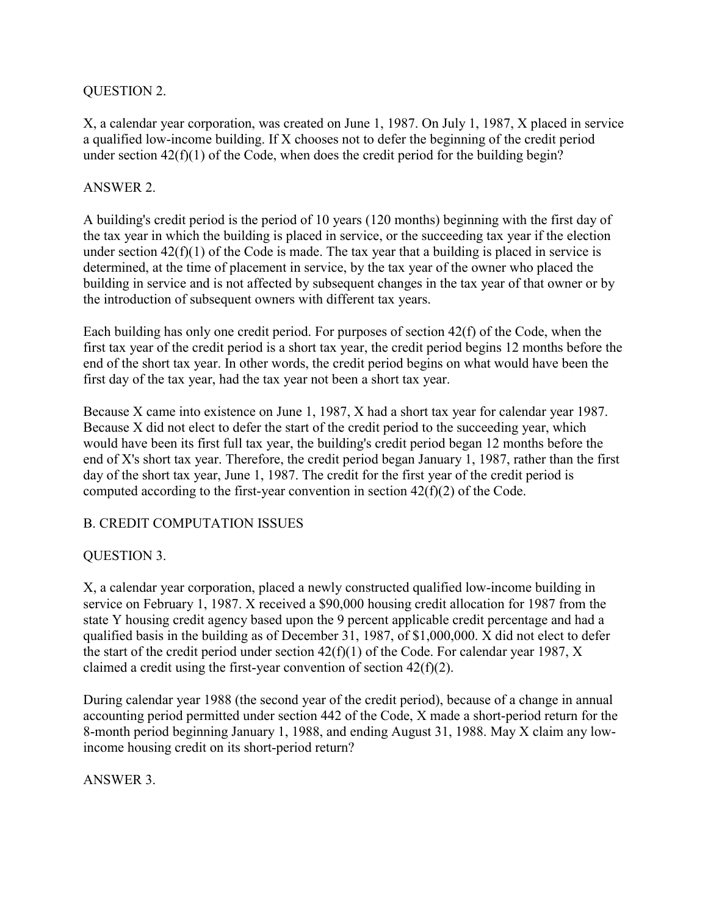#### QUESTION 2.

X, a calendar year corporation, was created on June 1, 1987. On July 1, 1987, X placed in service a qualified low-income building. If X chooses not to defer the beginning of the credit period under section  $42(f)(1)$  of the Code, when does the credit period for the building begin?

#### ANSWER 2.

A building's credit period is the period of 10 years (120 months) beginning with the first day of the tax year in which the building is placed in service, or the succeeding tax year if the election under section  $42(f)(1)$  of the Code is made. The tax year that a building is placed in service is determined, at the time of placement in service, by the tax year of the owner who placed the building in service and is not affected by subsequent changes in the tax year of that owner or by the introduction of subsequent owners with different tax years.

Each building has only one credit period. For purposes of section 42(f) of the Code, when the first tax year of the credit period is a short tax year, the credit period begins 12 months before the end of the short tax year. In other words, the credit period begins on what would have been the first day of the tax year, had the tax year not been a short tax year.

Because X came into existence on June 1, 1987, X had a short tax year for calendar year 1987. Because X did not elect to defer the start of the credit period to the succeeding year, which would have been its first full tax year, the building's credit period began 12 months before the end of X's short tax year. Therefore, the credit period began January 1, 1987, rather than the first day of the short tax year, June 1, 1987. The credit for the first year of the credit period is computed according to the first-year convention in section 42(f)(2) of the Code.

## B. CREDIT COMPUTATION ISSUES

## QUESTION 3.

X, a calendar year corporation, placed a newly constructed qualified low-income building in service on February 1, 1987. X received a \$90,000 housing credit allocation for 1987 from the state Y housing credit agency based upon the 9 percent applicable credit percentage and had a qualified basis in the building as of December 31, 1987, of \$1,000,000. X did not elect to defer the start of the credit period under section 42(f)(1) of the Code. For calendar year 1987, X claimed a credit using the first-year convention of section  $42(f)(2)$ .

During calendar year 1988 (the second year of the credit period), because of a change in annual accounting period permitted under section 442 of the Code, X made a short-period return for the 8-month period beginning January 1, 1988, and ending August 31, 1988. May X claim any lowincome housing credit on its short-period return?

## ANSWER 3.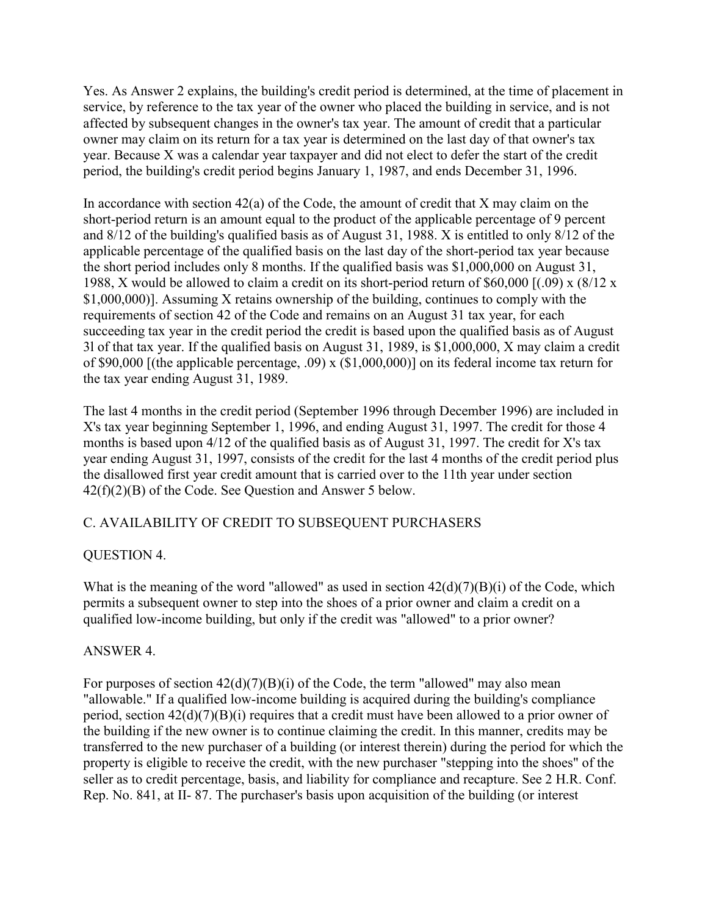Yes. As Answer 2 explains, the building's credit period is determined, at the time of placement in service, by reference to the tax year of the owner who placed the building in service, and is not affected by subsequent changes in the owner's tax year. The amount of credit that a particular owner may claim on its return for a tax year is determined on the last day of that owner's tax year. Because X was a calendar year taxpayer and did not elect to defer the start of the credit period, the building's credit period begins January 1, 1987, and ends December 31, 1996.

In accordance with section  $42(a)$  of the Code, the amount of credit that X may claim on the short-period return is an amount equal to the product of the applicable percentage of 9 percent and 8/12 of the building's qualified basis as of August 31, 1988. X is entitled to only 8/12 of the applicable percentage of the qualified basis on the last day of the short-period tax year because the short period includes only 8 months. If the qualified basis was \$1,000,000 on August 31, 1988, X would be allowed to claim a credit on its short-period return of \$60,000 [(.09) x (8/12 x \$1,000,000)]. Assuming X retains ownership of the building, continues to comply with the requirements of section 42 of the Code and remains on an August 31 tax year, for each succeeding tax year in the credit period the credit is based upon the qualified basis as of August 3l of that tax year. If the qualified basis on August 31, 1989, is \$1,000,000, X may claim a credit of \$90,000 [(the applicable percentage, .09) x (\$1,000,000)] on its federal income tax return for the tax year ending August 31, 1989.

The last 4 months in the credit period (September 1996 through December 1996) are included in X's tax year beginning September 1, 1996, and ending August 31, 1997. The credit for those 4 months is based upon 4/12 of the qualified basis as of August 31, 1997. The credit for X's tax year ending August 31, 1997, consists of the credit for the last 4 months of the credit period plus the disallowed first year credit amount that is carried over to the 11th year under section 42(f)(2)(B) of the Code. See Question and Answer 5 below.

## C. AVAILABILITY OF CREDIT TO SUBSEQUENT PURCHASERS

## QUESTION 4.

What is the meaning of the word "allowed" as used in section  $42(d)(7)(B)(i)$  of the Code, which permits a subsequent owner to step into the shoes of a prior owner and claim a credit on a qualified low-income building, but only if the credit was "allowed" to a prior owner?

## ANSWER 4.

For purposes of section  $42(d)(7)(B)(i)$  of the Code, the term "allowed" may also mean "allowable." If a qualified low-income building is acquired during the building's compliance period, section 42(d)(7)(B)(i) requires that a credit must have been allowed to a prior owner of the building if the new owner is to continue claiming the credit. In this manner, credits may be transferred to the new purchaser of a building (or interest therein) during the period for which the property is eligible to receive the credit, with the new purchaser "stepping into the shoes" of the seller as to credit percentage, basis, and liability for compliance and recapture. See 2 H.R. Conf. Rep. No. 841, at II- 87. The purchaser's basis upon acquisition of the building (or interest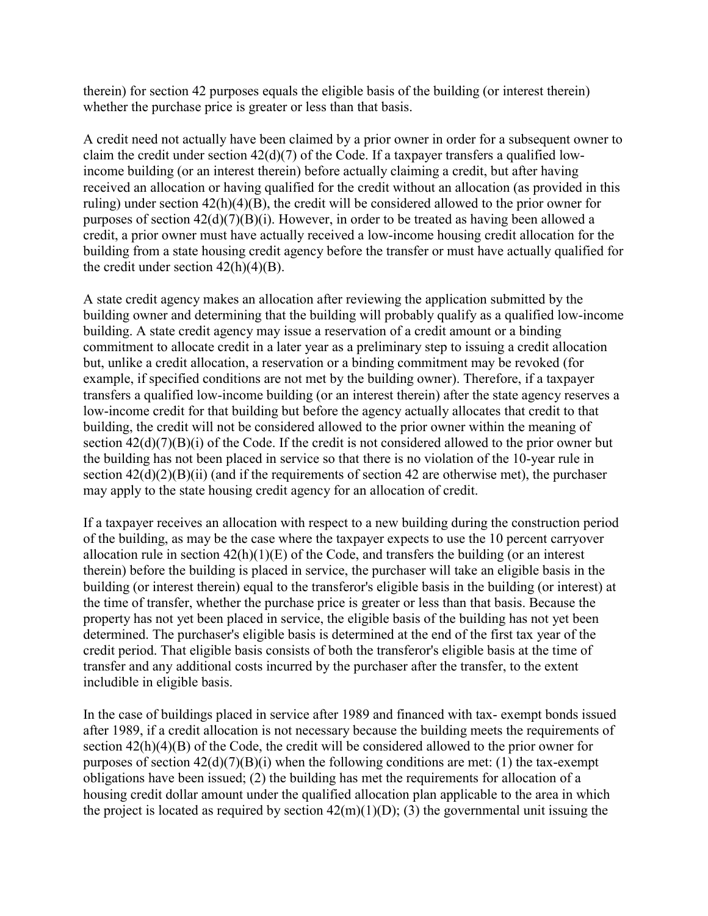therein) for section 42 purposes equals the eligible basis of the building (or interest therein) whether the purchase price is greater or less than that basis.

A credit need not actually have been claimed by a prior owner in order for a subsequent owner to claim the credit under section 42(d)(7) of the Code. If a taxpayer transfers a qualified lowincome building (or an interest therein) before actually claiming a credit, but after having received an allocation or having qualified for the credit without an allocation (as provided in this ruling) under section 42(h)(4)(B), the credit will be considered allowed to the prior owner for purposes of section 42(d)(7)(B)(i). However, in order to be treated as having been allowed a credit, a prior owner must have actually received a low-income housing credit allocation for the building from a state housing credit agency before the transfer or must have actually qualified for the credit under section  $42(h)(4)(B)$ .

A state credit agency makes an allocation after reviewing the application submitted by the building owner and determining that the building will probably qualify as a qualified low-income building. A state credit agency may issue a reservation of a credit amount or a binding commitment to allocate credit in a later year as a preliminary step to issuing a credit allocation but, unlike a credit allocation, a reservation or a binding commitment may be revoked (for example, if specified conditions are not met by the building owner). Therefore, if a taxpayer transfers a qualified low-income building (or an interest therein) after the state agency reserves a low-income credit for that building but before the agency actually allocates that credit to that building, the credit will not be considered allowed to the prior owner within the meaning of section  $42(d)(7)(B)(i)$  of the Code. If the credit is not considered allowed to the prior owner but the building has not been placed in service so that there is no violation of the 10-year rule in section  $42(d)(2)(B)(ii)$  (and if the requirements of section 42 are otherwise met), the purchaser may apply to the state housing credit agency for an allocation of credit.

If a taxpayer receives an allocation with respect to a new building during the construction period of the building, as may be the case where the taxpayer expects to use the 10 percent carryover allocation rule in section  $42(h)(1)(E)$  of the Code, and transfers the building (or an interest therein) before the building is placed in service, the purchaser will take an eligible basis in the building (or interest therein) equal to the transferor's eligible basis in the building (or interest) at the time of transfer, whether the purchase price is greater or less than that basis. Because the property has not yet been placed in service, the eligible basis of the building has not yet been determined. The purchaser's eligible basis is determined at the end of the first tax year of the credit period. That eligible basis consists of both the transferor's eligible basis at the time of transfer and any additional costs incurred by the purchaser after the transfer, to the extent includible in eligible basis.

In the case of buildings placed in service after 1989 and financed with tax- exempt bonds issued after 1989, if a credit allocation is not necessary because the building meets the requirements of section 42(h)(4)(B) of the Code, the credit will be considered allowed to the prior owner for purposes of section  $42(d)(7)(B)(i)$  when the following conditions are met: (1) the tax-exempt obligations have been issued; (2) the building has met the requirements for allocation of a housing credit dollar amount under the qualified allocation plan applicable to the area in which the project is located as required by section  $42(m)(1)(D)$ ; (3) the governmental unit issuing the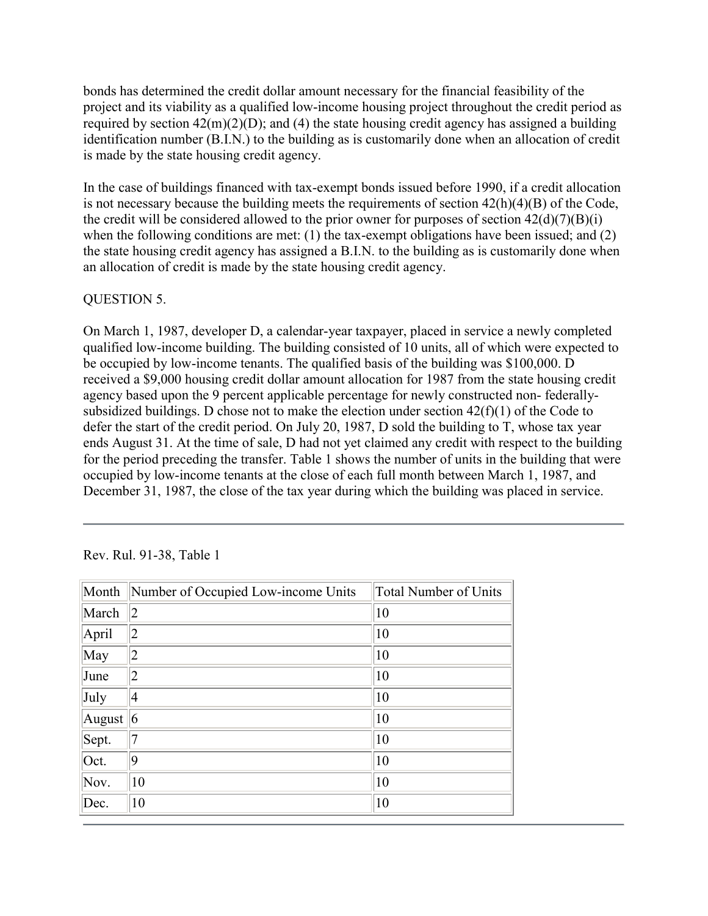bonds has determined the credit dollar amount necessary for the financial feasibility of the project and its viability as a qualified low-income housing project throughout the credit period as required by section  $42(m)(2)(D)$ ; and (4) the state housing credit agency has assigned a building identification number (B.I.N.) to the building as is customarily done when an allocation of credit is made by the state housing credit agency.

In the case of buildings financed with tax-exempt bonds issued before 1990, if a credit allocation is not necessary because the building meets the requirements of section 42(h)(4)(B) of the Code, the credit will be considered allowed to the prior owner for purposes of section  $42(d)(7)(B)(i)$ when the following conditions are met: (1) the tax-exempt obligations have been issued; and (2) the state housing credit agency has assigned a B.I.N. to the building as is customarily done when an allocation of credit is made by the state housing credit agency.

## QUESTION 5.

On March 1, 1987, developer D, a calendar-year taxpayer, placed in service a newly completed qualified low-income building. The building consisted of 10 units, all of which were expected to be occupied by low-income tenants. The qualified basis of the building was \$100,000. D received a \$9,000 housing credit dollar amount allocation for 1987 from the state housing credit agency based upon the 9 percent applicable percentage for newly constructed non- federallysubsidized buildings. D chose not to make the election under section  $42(f)(1)$  of the Code to defer the start of the credit period. On July 20, 1987, D sold the building to T, whose tax year ends August 31. At the time of sale, D had not yet claimed any credit with respect to the building for the period preceding the transfer. Table 1 shows the number of units in the building that were occupied by low-income tenants at the close of each full month between March 1, 1987, and December 31, 1987, the close of the tax year during which the building was placed in service.

| Month  | Number of Occupied Low-income Units | Total Number of Units |
|--------|-------------------------------------|-----------------------|
| March  | $ 2\rangle$                         | $ 10\rangle$          |
| April  | 12                                  | 10                    |
| May    | 12                                  | 10                    |
| June   | 12                                  | $ 10\rangle$          |
| July   | 14                                  | 10                    |
| August | $\vert 6 \vert$                     | 10                    |
| Sept.  |                                     | 10                    |
| Oct.   | 19                                  | 10                    |
| Nov.   | 10                                  | 10                    |
| Dec.   | 10                                  | 10                    |

Rev. Rul. 91-38, Table 1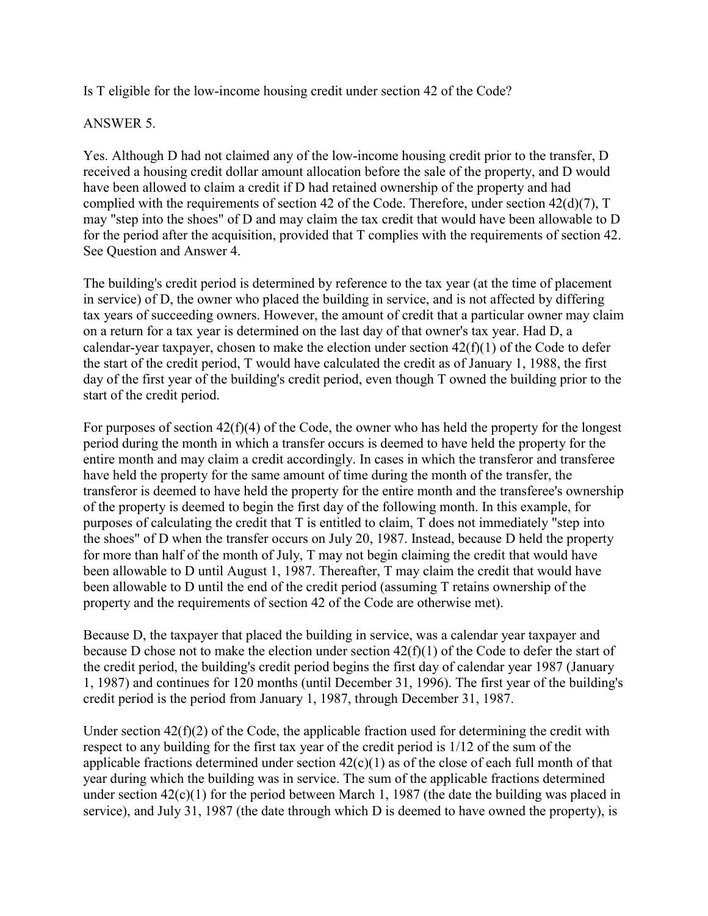Is T eligible for the low-income housing credit under section 42 of the Code?

## ANSWER 5.

Yes. Although D had not claimed any of the low-income housing credit prior to the transfer, D received a housing credit dollar amount allocation before the sale of the property, and D would have been allowed to claim a credit if D had retained ownership of the property and had complied with the requirements of section 42 of the Code. Therefore, under section 42(d)(7), T may "step into the shoes" of D and may claim the tax credit that would have been allowable to D for the period after the acquisition, provided that T complies with the requirements of section 42. See Question and Answer 4.

The building's credit period is determined by reference to the tax year (at the time of placement in service) of D, the owner who placed the building in service, and is not affected by differing tax years of succeeding owners. However, the amount of credit that a particular owner may claim on a return for a tax year is determined on the last day of that owner's tax year. Had D, a calendar-year taxpayer, chosen to make the election under section  $42(f)(1)$  of the Code to defer the start of the credit period, T would have calculated the credit as of January 1, 1988, the first day of the first year of the building's credit period, even though T owned the building prior to the start of the credit period.

For purposes of section 42(f)(4) of the Code, the owner who has held the property for the longest period during the month in which a transfer occurs is deemed to have held the property for the entire month and may claim a credit accordingly. In cases in which the transferor and transferee have held the property for the same amount of time during the month of the transfer, the transferor is deemed to have held the property for the entire month and the transferee's ownership of the property is deemed to begin the first day of the following month. In this example, for purposes of calculating the credit that T is entitled to claim, T does not immediately "step into the shoes" of D when the transfer occurs on July 20, 1987. Instead, because D held the property for more than half of the month of July, T may not begin claiming the credit that would have been allowable to D until August 1, 1987. Thereafter, T may claim the credit that would have been allowable to D until the end of the credit period (assuming T retains ownership of the property and the requirements of section 42 of the Code are otherwise met).

Because D, the taxpayer that placed the building in service, was a calendar year taxpayer and because D chose not to make the election under section 42(f)(1) of the Code to defer the start of the credit period, the building's credit period begins the first day of calendar year 1987 (January 1, 1987) and continues for 120 months (until December 31, 1996). The first year of the building's credit period is the period from January 1, 1987, through December 31, 1987.

Under section 42(f)(2) of the Code, the applicable fraction used for determining the credit with respect to any building for the first tax year of the credit period is 1/12 of the sum of the applicable fractions determined under section  $42(c)(1)$  as of the close of each full month of that year during which the building was in service. The sum of the applicable fractions determined under section  $42(c)(1)$  for the period between March 1, 1987 (the date the building was placed in service), and July 31, 1987 (the date through which D is deemed to have owned the property), is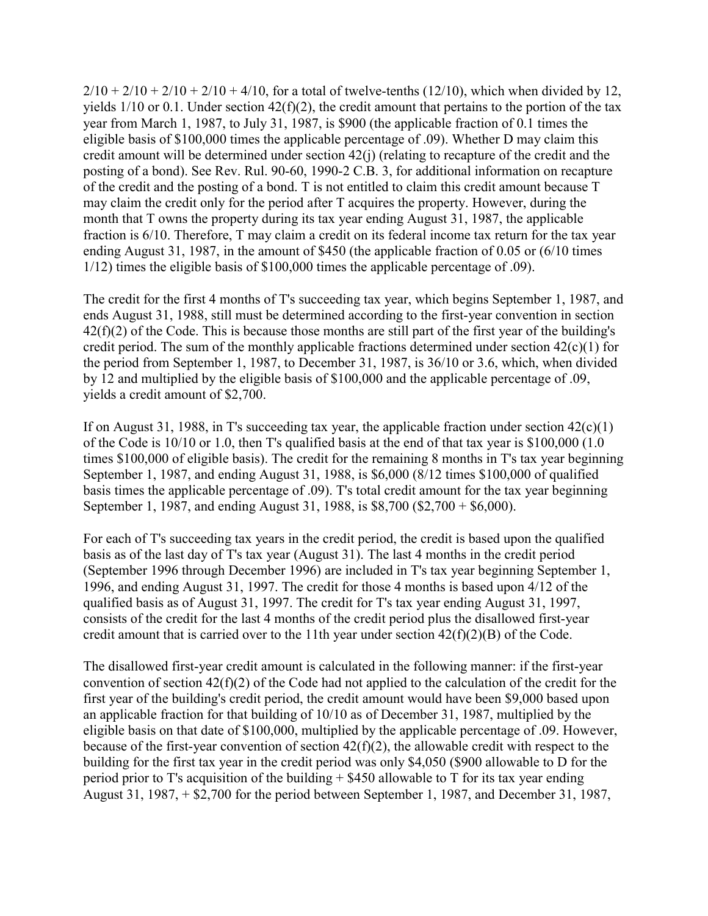$2/10 + 2/10 + 2/10 + 2/10 + 4/10$ , for a total of twelve-tenths (12/10), which when divided by 12, yields 1/10 or 0.1. Under section 42(f)(2), the credit amount that pertains to the portion of the tax year from March 1, 1987, to July 31, 1987, is \$900 (the applicable fraction of 0.1 times the eligible basis of \$100,000 times the applicable percentage of .09). Whether D may claim this credit amount will be determined under section 42(j) (relating to recapture of the credit and the posting of a bond). See Rev. Rul. 90-60, 1990-2 C.B. 3, for additional information on recapture of the credit and the posting of a bond. T is not entitled to claim this credit amount because T may claim the credit only for the period after T acquires the property. However, during the month that T owns the property during its tax year ending August 31, 1987, the applicable fraction is 6/10. Therefore, T may claim a credit on its federal income tax return for the tax year ending August 31, 1987, in the amount of \$450 (the applicable fraction of 0.05 or (6/10 times 1/12) times the eligible basis of \$100,000 times the applicable percentage of .09).

The credit for the first 4 months of T's succeeding tax year, which begins September 1, 1987, and ends August 31, 1988, still must be determined according to the first-year convention in section 42(f)(2) of the Code. This is because those months are still part of the first year of the building's credit period. The sum of the monthly applicable fractions determined under section  $42(c)(1)$  for the period from September 1, 1987, to December 31, 1987, is 36/10 or 3.6, which, when divided by 12 and multiplied by the eligible basis of \$100,000 and the applicable percentage of .09, yields a credit amount of \$2,700.

If on August 31, 1988, in T's succeeding tax year, the applicable fraction under section  $42(c)(1)$ of the Code is 10/10 or 1.0, then T's qualified basis at the end of that tax year is \$100,000 (1.0 times \$100,000 of eligible basis). The credit for the remaining 8 months in T's tax year beginning September 1, 1987, and ending August 31, 1988, is \$6,000 (8/12 times \$100,000 of qualified basis times the applicable percentage of .09). T's total credit amount for the tax year beginning September 1, 1987, and ending August 31, 1988, is \$8,700 (\$2,700 + \$6,000).

For each of T's succeeding tax years in the credit period, the credit is based upon the qualified basis as of the last day of T's tax year (August 31). The last 4 months in the credit period (September 1996 through December 1996) are included in T's tax year beginning September 1, 1996, and ending August 31, 1997. The credit for those 4 months is based upon 4/12 of the qualified basis as of August 31, 1997. The credit for T's tax year ending August 31, 1997, consists of the credit for the last 4 months of the credit period plus the disallowed first-year credit amount that is carried over to the 11th year under section  $42(f)(2)(B)$  of the Code.

The disallowed first-year credit amount is calculated in the following manner: if the first-year convention of section 42(f)(2) of the Code had not applied to the calculation of the credit for the first year of the building's credit period, the credit amount would have been \$9,000 based upon an applicable fraction for that building of 10/10 as of December 31, 1987, multiplied by the eligible basis on that date of \$100,000, multiplied by the applicable percentage of .09. However, because of the first-year convention of section 42(f)(2), the allowable credit with respect to the building for the first tax year in the credit period was only \$4,050 (\$900 allowable to D for the period prior to T's acquisition of the building  $+$  \$450 allowable to T for its tax year ending August 31, 1987, + \$2,700 for the period between September 1, 1987, and December 31, 1987,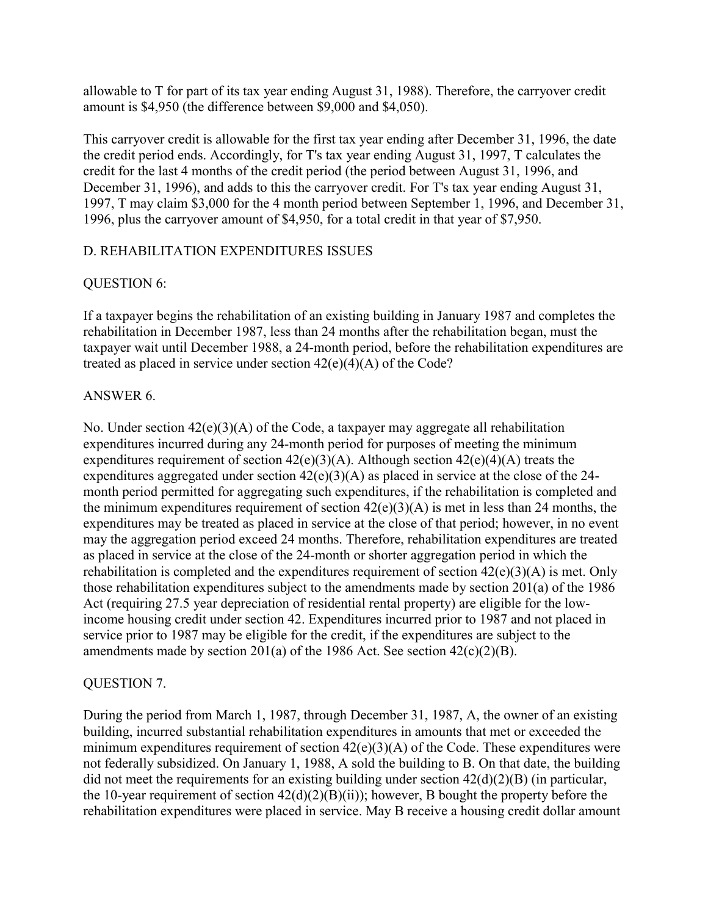allowable to T for part of its tax year ending August 31, 1988). Therefore, the carryover credit amount is \$4,950 (the difference between \$9,000 and \$4,050).

This carryover credit is allowable for the first tax year ending after December 31, 1996, the date the credit period ends. Accordingly, for T's tax year ending August 31, 1997, T calculates the credit for the last 4 months of the credit period (the period between August 31, 1996, and December 31, 1996), and adds to this the carryover credit. For T's tax year ending August 31, 1997, T may claim \$3,000 for the 4 month period between September 1, 1996, and December 31, 1996, plus the carryover amount of \$4,950, for a total credit in that year of \$7,950.

## D. REHABILITATION EXPENDITURES ISSUES

## QUESTION 6:

If a taxpayer begins the rehabilitation of an existing building in January 1987 and completes the rehabilitation in December 1987, less than 24 months after the rehabilitation began, must the taxpayer wait until December 1988, a 24-month period, before the rehabilitation expenditures are treated as placed in service under section 42(e)(4)(A) of the Code?

## ANSWER 6.

No. Under section 42(e)(3)(A) of the Code, a taxpayer may aggregate all rehabilitation expenditures incurred during any 24-month period for purposes of meeting the minimum expenditures requirement of section  $42(e)(3)(A)$ . Although section  $42(e)(4)(A)$  treats the expenditures aggregated under section 42(e)(3)(A) as placed in service at the close of the 24 month period permitted for aggregating such expenditures, if the rehabilitation is completed and the minimum expenditures requirement of section  $42(e)(3)(A)$  is met in less than 24 months, the expenditures may be treated as placed in service at the close of that period; however, in no event may the aggregation period exceed 24 months. Therefore, rehabilitation expenditures are treated as placed in service at the close of the 24-month or shorter aggregation period in which the rehabilitation is completed and the expenditures requirement of section  $42(e)(3)(A)$  is met. Only those rehabilitation expenditures subject to the amendments made by section 201(a) of the 1986 Act (requiring 27.5 year depreciation of residential rental property) are eligible for the lowincome housing credit under section 42. Expenditures incurred prior to 1987 and not placed in service prior to 1987 may be eligible for the credit, if the expenditures are subject to the amendments made by section 201(a) of the 1986 Act. See section  $42(c)(2)(B)$ .

## QUESTION 7.

During the period from March 1, 1987, through December 31, 1987, A, the owner of an existing building, incurred substantial rehabilitation expenditures in amounts that met or exceeded the minimum expenditures requirement of section  $42(e)(3)(A)$  of the Code. These expenditures were not federally subsidized. On January 1, 1988, A sold the building to B. On that date, the building did not meet the requirements for an existing building under section  $42(d)(2)(B)$  (in particular, the 10-year requirement of section  $42(d)(2)(B)(ii)$ ; however, B bought the property before the rehabilitation expenditures were placed in service. May B receive a housing credit dollar amount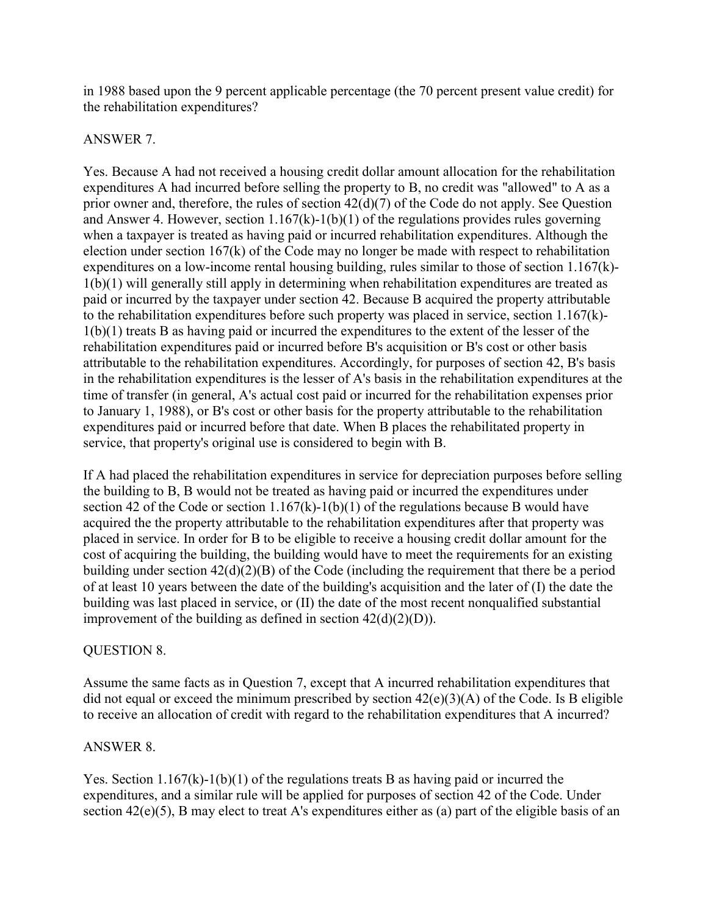in 1988 based upon the 9 percent applicable percentage (the 70 percent present value credit) for the rehabilitation expenditures?

#### ANSWER 7.

Yes. Because A had not received a housing credit dollar amount allocation for the rehabilitation expenditures A had incurred before selling the property to B, no credit was "allowed" to A as a prior owner and, therefore, the rules of section 42(d)(7) of the Code do not apply. See Question and Answer 4. However, section  $1.167(k)-1(b)(1)$  of the regulations provides rules governing when a taxpayer is treated as having paid or incurred rehabilitation expenditures. Although the election under section 167(k) of the Code may no longer be made with respect to rehabilitation expenditures on a low-income rental housing building, rules similar to those of section 1.167(k)- 1(b)(1) will generally still apply in determining when rehabilitation expenditures are treated as paid or incurred by the taxpayer under section 42. Because B acquired the property attributable to the rehabilitation expenditures before such property was placed in service, section 1.167(k)- 1(b)(1) treats B as having paid or incurred the expenditures to the extent of the lesser of the rehabilitation expenditures paid or incurred before B's acquisition or B's cost or other basis attributable to the rehabilitation expenditures. Accordingly, for purposes of section 42, B's basis in the rehabilitation expenditures is the lesser of A's basis in the rehabilitation expenditures at the time of transfer (in general, A's actual cost paid or incurred for the rehabilitation expenses prior to January 1, 1988), or B's cost or other basis for the property attributable to the rehabilitation expenditures paid or incurred before that date. When B places the rehabilitated property in service, that property's original use is considered to begin with B.

If A had placed the rehabilitation expenditures in service for depreciation purposes before selling the building to B, B would not be treated as having paid or incurred the expenditures under section 42 of the Code or section  $1.167(k)-1(b)(1)$  of the regulations because B would have acquired the the property attributable to the rehabilitation expenditures after that property was placed in service. In order for B to be eligible to receive a housing credit dollar amount for the cost of acquiring the building, the building would have to meet the requirements for an existing building under section 42(d)(2)(B) of the Code (including the requirement that there be a period of at least 10 years between the date of the building's acquisition and the later of (I) the date the building was last placed in service, or (II) the date of the most recent nonqualified substantial improvement of the building as defined in section  $42(d)(2)(D)$ ).

## QUESTION 8.

Assume the same facts as in Question 7, except that A incurred rehabilitation expenditures that did not equal or exceed the minimum prescribed by section  $42(e)(3)(A)$  of the Code. Is B eligible to receive an allocation of credit with regard to the rehabilitation expenditures that A incurred?

## ANSWER 8.

Yes. Section  $1.167(k)-1(b)(1)$  of the regulations treats B as having paid or incurred the expenditures, and a similar rule will be applied for purposes of section 42 of the Code. Under section  $42(e)(5)$ , B may elect to treat A's expenditures either as (a) part of the eligible basis of an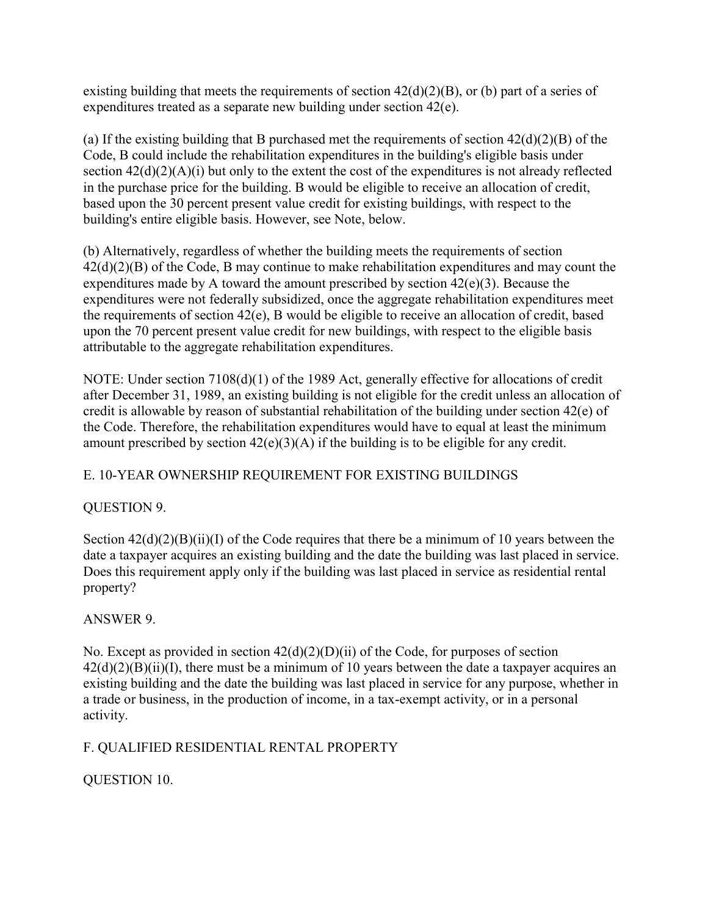existing building that meets the requirements of section  $42(d)(2)(B)$ , or (b) part of a series of expenditures treated as a separate new building under section 42(e).

(a) If the existing building that B purchased met the requirements of section  $42(d)(2)(B)$  of the Code, B could include the rehabilitation expenditures in the building's eligible basis under section  $42(d)(2)(A)(i)$  but only to the extent the cost of the expenditures is not already reflected in the purchase price for the building. B would be eligible to receive an allocation of credit, based upon the 30 percent present value credit for existing buildings, with respect to the building's entire eligible basis. However, see Note, below.

(b) Alternatively, regardless of whether the building meets the requirements of section 42(d)(2)(B) of the Code, B may continue to make rehabilitation expenditures and may count the expenditures made by A toward the amount prescribed by section 42(e)(3). Because the expenditures were not federally subsidized, once the aggregate rehabilitation expenditures meet the requirements of section 42(e), B would be eligible to receive an allocation of credit, based upon the 70 percent present value credit for new buildings, with respect to the eligible basis attributable to the aggregate rehabilitation expenditures.

NOTE: Under section 7108(d)(1) of the 1989 Act, generally effective for allocations of credit after December 31, 1989, an existing building is not eligible for the credit unless an allocation of credit is allowable by reason of substantial rehabilitation of the building under section 42(e) of the Code. Therefore, the rehabilitation expenditures would have to equal at least the minimum amount prescribed by section  $42(e)(3)(A)$  if the building is to be eligible for any credit.

# E. 10-YEAR OWNERSHIP REQUIREMENT FOR EXISTING BUILDINGS

## QUESTION 9.

Section  $42(d)(2)(B)(ii)(I)$  of the Code requires that there be a minimum of 10 years between the date a taxpayer acquires an existing building and the date the building was last placed in service. Does this requirement apply only if the building was last placed in service as residential rental property?

# ANSWER 9.

No. Except as provided in section 42(d)(2)(D)(ii) of the Code, for purposes of section  $42(d)(2)(B)(ii)(I)$ , there must be a minimum of 10 years between the date a taxpayer acquires an existing building and the date the building was last placed in service for any purpose, whether in a trade or business, in the production of income, in a tax-exempt activity, or in a personal activity.

# F. QUALIFIED RESIDENTIAL RENTAL PROPERTY

QUESTION 10.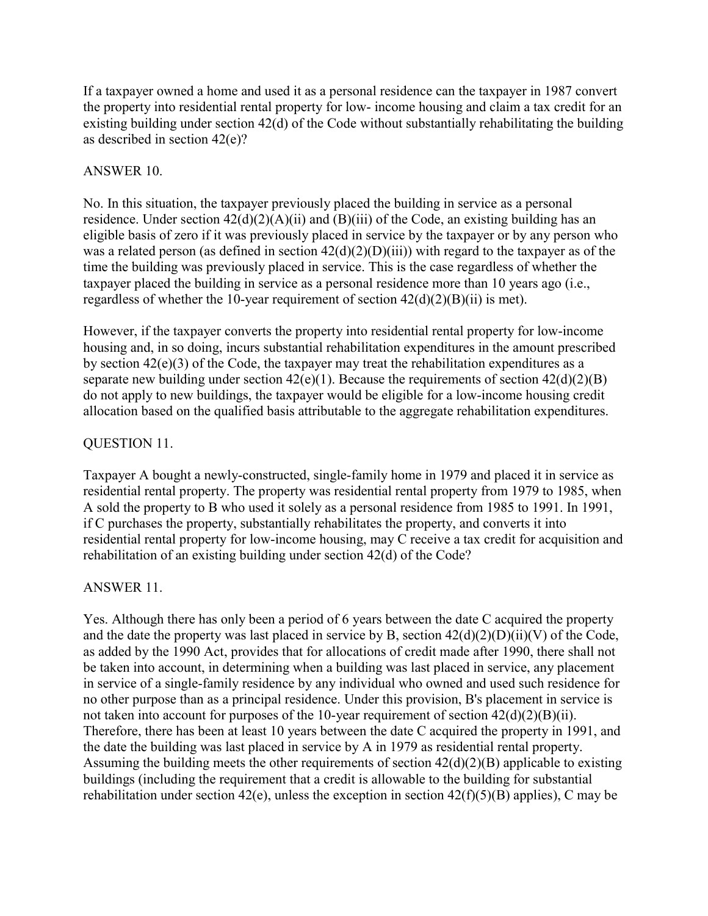If a taxpayer owned a home and used it as a personal residence can the taxpayer in 1987 convert the property into residential rental property for low- income housing and claim a tax credit for an existing building under section 42(d) of the Code without substantially rehabilitating the building as described in section 42(e)?

## ANSWER 10.

No. In this situation, the taxpayer previously placed the building in service as a personal residence. Under section  $42(d)(2)(A)(ii)$  and  $(B)(iii)$  of the Code, an existing building has an eligible basis of zero if it was previously placed in service by the taxpayer or by any person who was a related person (as defined in section  $42(d)(2)(D)(iii)$ ) with regard to the taxpayer as of the time the building was previously placed in service. This is the case regardless of whether the taxpayer placed the building in service as a personal residence more than 10 years ago (i.e., regardless of whether the 10-year requirement of section  $42(d)(2)(B)(ii)$  is met).

However, if the taxpayer converts the property into residential rental property for low-income housing and, in so doing, incurs substantial rehabilitation expenditures in the amount prescribed by section 42(e)(3) of the Code, the taxpayer may treat the rehabilitation expenditures as a separate new building under section  $42(e)(1)$ . Because the requirements of section  $42(d)(2)(B)$ do not apply to new buildings, the taxpayer would be eligible for a low-income housing credit allocation based on the qualified basis attributable to the aggregate rehabilitation expenditures.

## QUESTION 11.

Taxpayer A bought a newly-constructed, single-family home in 1979 and placed it in service as residential rental property. The property was residential rental property from 1979 to 1985, when A sold the property to B who used it solely as a personal residence from 1985 to 1991. In 1991, if C purchases the property, substantially rehabilitates the property, and converts it into residential rental property for low-income housing, may C receive a tax credit for acquisition and rehabilitation of an existing building under section 42(d) of the Code?

## ANSWER 11.

Yes. Although there has only been a period of 6 years between the date C acquired the property and the date the property was last placed in service by B, section  $42(d)(2)(D)(ii)(V)$  of the Code, as added by the 1990 Act, provides that for allocations of credit made after 1990, there shall not be taken into account, in determining when a building was last placed in service, any placement in service of a single-family residence by any individual who owned and used such residence for no other purpose than as a principal residence. Under this provision, B's placement in service is not taken into account for purposes of the 10-year requirement of section  $42(d)(2)(B)(ii)$ . Therefore, there has been at least 10 years between the date C acquired the property in 1991, and the date the building was last placed in service by A in 1979 as residential rental property. Assuming the building meets the other requirements of section 42(d)(2)(B) applicable to existing buildings (including the requirement that a credit is allowable to the building for substantial rehabilitation under section 42(e), unless the exception in section  $42(f)(5)(B)$  applies), C may be